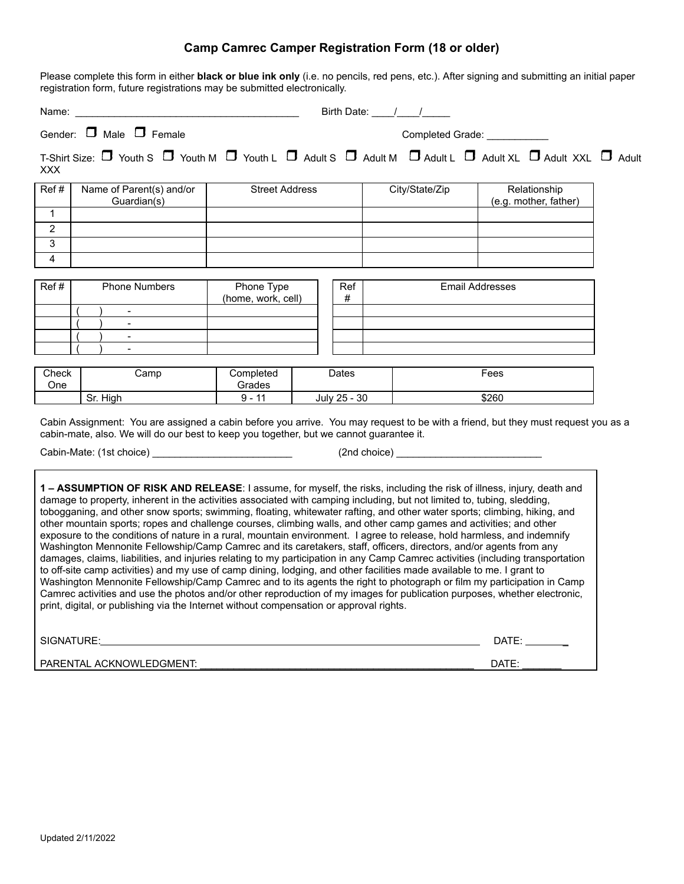## **Camp Camrec Camper Registration Form (18 or older)**

Please complete this form in either **black or blue ink only** (i.e. no pencils, red pens, etc.). After signing and submitting an initial paper registration form, future registrations may be submitted electronically.

| Name:          | <u> 1980 - Jan James James Barnett, fransk politik (d. 1980)</u>                                                                                                                                                                                                                                                                                                                                                                                                                                                                                                                                                                                                                                                                                                                                                                                                                                                                                                                                                                                                                                                                                                                                                                                                                                                                                                    |                                              |              |  |                        |                                       |  |
|----------------|---------------------------------------------------------------------------------------------------------------------------------------------------------------------------------------------------------------------------------------------------------------------------------------------------------------------------------------------------------------------------------------------------------------------------------------------------------------------------------------------------------------------------------------------------------------------------------------------------------------------------------------------------------------------------------------------------------------------------------------------------------------------------------------------------------------------------------------------------------------------------------------------------------------------------------------------------------------------------------------------------------------------------------------------------------------------------------------------------------------------------------------------------------------------------------------------------------------------------------------------------------------------------------------------------------------------------------------------------------------------|----------------------------------------------|--------------|--|------------------------|---------------------------------------|--|
|                | Gender: $\Box$ Male $\Box$ Female                                                                                                                                                                                                                                                                                                                                                                                                                                                                                                                                                                                                                                                                                                                                                                                                                                                                                                                                                                                                                                                                                                                                                                                                                                                                                                                                   | Completed Grade: ___________                 |              |  |                        |                                       |  |
| <b>XXX</b>     | T-Shirt Size: $\Box$ Youth S $\Box$ Youth M $\Box$ Youth L $\Box$ Adult S $\Box$ Adult M $\Box$ Adult L $\Box$ Adult XXL $\Box$ Adult                                                                                                                                                                                                                                                                                                                                                                                                                                                                                                                                                                                                                                                                                                                                                                                                                                                                                                                                                                                                                                                                                                                                                                                                                               |                                              |              |  |                        |                                       |  |
| Ref#           | Name of Parent(s) and/or<br>Guardian(s)                                                                                                                                                                                                                                                                                                                                                                                                                                                                                                                                                                                                                                                                                                                                                                                                                                                                                                                                                                                                                                                                                                                                                                                                                                                                                                                             | <b>Street Address</b>                        |              |  | City/State/Zip         | Relationship<br>(e.g. mother, father) |  |
| $\mathbf{1}$   |                                                                                                                                                                                                                                                                                                                                                                                                                                                                                                                                                                                                                                                                                                                                                                                                                                                                                                                                                                                                                                                                                                                                                                                                                                                                                                                                                                     |                                              |              |  |                        |                                       |  |
| $\overline{c}$ |                                                                                                                                                                                                                                                                                                                                                                                                                                                                                                                                                                                                                                                                                                                                                                                                                                                                                                                                                                                                                                                                                                                                                                                                                                                                                                                                                                     |                                              |              |  |                        |                                       |  |
| $\overline{3}$ |                                                                                                                                                                                                                                                                                                                                                                                                                                                                                                                                                                                                                                                                                                                                                                                                                                                                                                                                                                                                                                                                                                                                                                                                                                                                                                                                                                     |                                              |              |  |                        |                                       |  |
| $\overline{4}$ |                                                                                                                                                                                                                                                                                                                                                                                                                                                                                                                                                                                                                                                                                                                                                                                                                                                                                                                                                                                                                                                                                                                                                                                                                                                                                                                                                                     |                                              |              |  |                        |                                       |  |
| Ref#           | <b>Phone Numbers</b><br>$\blacksquare$                                                                                                                                                                                                                                                                                                                                                                                                                                                                                                                                                                                                                                                                                                                                                                                                                                                                                                                                                                                                                                                                                                                                                                                                                                                                                                                              | Phone Type<br>Ref<br>(home, work, cell)<br># |              |  | <b>Email Addresses</b> |                                       |  |
|                |                                                                                                                                                                                                                                                                                                                                                                                                                                                                                                                                                                                                                                                                                                                                                                                                                                                                                                                                                                                                                                                                                                                                                                                                                                                                                                                                                                     |                                              |              |  |                        |                                       |  |
|                | $\sim$                                                                                                                                                                                                                                                                                                                                                                                                                                                                                                                                                                                                                                                                                                                                                                                                                                                                                                                                                                                                                                                                                                                                                                                                                                                                                                                                                              |                                              |              |  |                        |                                       |  |
|                |                                                                                                                                                                                                                                                                                                                                                                                                                                                                                                                                                                                                                                                                                                                                                                                                                                                                                                                                                                                                                                                                                                                                                                                                                                                                                                                                                                     |                                              |              |  |                        |                                       |  |
| Check<br>One   | Camp                                                                                                                                                                                                                                                                                                                                                                                                                                                                                                                                                                                                                                                                                                                                                                                                                                                                                                                                                                                                                                                                                                                                                                                                                                                                                                                                                                | Completed<br>Grades                          | Dates        |  |                        | Fees                                  |  |
|                | Sr. High                                                                                                                                                                                                                                                                                                                                                                                                                                                                                                                                                                                                                                                                                                                                                                                                                                                                                                                                                                                                                                                                                                                                                                                                                                                                                                                                                            | $9 - 11$                                     | July 25 - 30 |  |                        | \$260                                 |  |
|                | Cabin Assignment: You are assigned a cabin before you arrive. You may request to be with a friend, but they must request you as a<br>cabin-mate, also. We will do our best to keep you together, but we cannot guarantee it.<br>Cabin-Mate: (1st choice) ________________________________                                                                                                                                                                                                                                                                                                                                                                                                                                                                                                                                                                                                                                                                                                                                                                                                                                                                                                                                                                                                                                                                           |                                              |              |  |                        |                                       |  |
|                | 1 - ASSUMPTION OF RISK AND RELEASE: I assume, for myself, the risks, including the risk of illness, injury, death and<br>damage to property, inherent in the activities associated with camping including, but not limited to, tubing, sledding,<br>tobogganing, and other snow sports; swimming, floating, whitewater rafting, and other water sports; climbing, hiking, and<br>other mountain sports; ropes and challenge courses, climbing walls, and other camp games and activities; and other<br>exposure to the conditions of nature in a rural, mountain environment. I agree to release, hold harmless, and indemnify<br>Washington Mennonite Fellowship/Camp Camrec and its caretakers, staff, officers, directors, and/or agents from any<br>damages, claims, liabilities, and injuries relating to my participation in any Camp Camrec activities (including transportation<br>to off-site camp activities) and my use of camp dining, lodging, and other facilities made available to me. I grant to<br>Washington Mennonite Fellowship/Camp Camrec and to its agents the right to photograph or film my participation in Camp<br>Camrec activities and use the photos and/or other reproduction of my images for publication purposes, whether electronic,<br>print, digital, or publishing via the Internet without compensation or approval rights. |                                              |              |  |                        |                                       |  |
|                | SIGNATURE:                                                                                                                                                                                                                                                                                                                                                                                                                                                                                                                                                                                                                                                                                                                                                                                                                                                                                                                                                                                                                                                                                                                                                                                                                                                                                                                                                          |                                              |              |  |                        | DATE: _______                         |  |

PARENTAL ACKNOWLEDGMENT: \_\_\_\_\_\_\_\_\_\_\_\_\_\_\_\_\_\_\_\_\_\_\_\_\_\_\_\_\_\_\_\_\_\_\_\_\_\_\_\_\_\_\_\_\_\_\_\_\_ DATE: \_\_\_\_\_\_\_